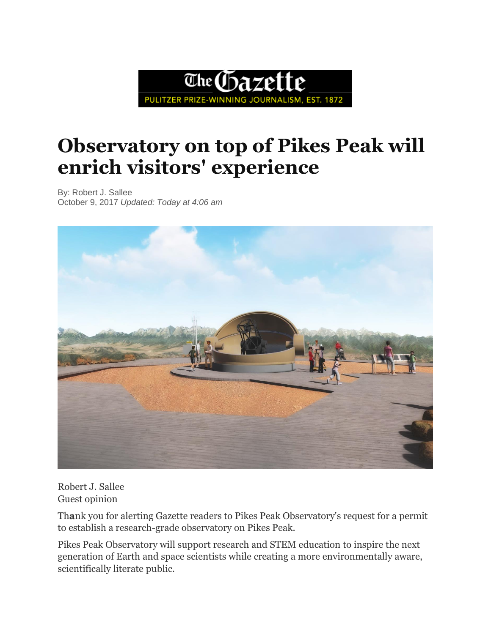

## **Observatory on top of Pikes Peak will enrich visitors' experience**

By: Robert J. Sallee October 9, 2017 *Updated: Today at 4:06 am*



Robert J. Sallee Guest opinion

Th**a**nk you for alerting Gazette readers to Pikes Peak Observatory's request for a permit to establish a research-grade observatory on Pikes Peak.

Pikes Peak Observatory will support research and STEM education to inspire the next generation of Earth and space scientists while creating a more environmentally aware, scientifically literate public.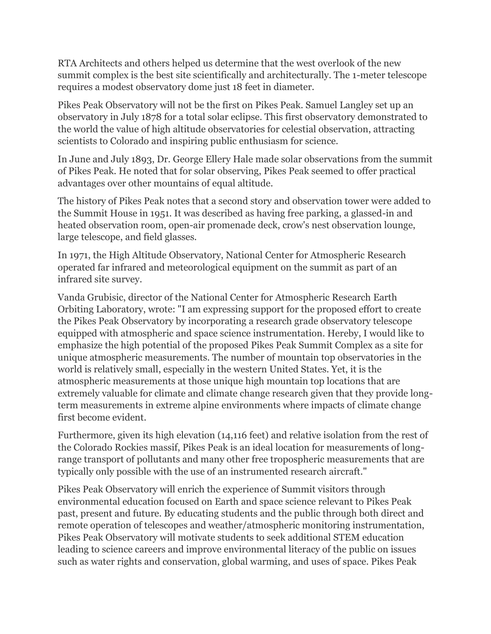RTA Architects and others helped us determine that the west overlook of the new summit complex is the best site scientifically and architecturally. The 1-meter telescope requires a modest observatory dome just 18 feet in diameter.

Pikes Peak Observatory will not be the first on Pikes Peak. Samuel Langley set up an observatory in July 1878 for a total solar eclipse. This first observatory demonstrated to the world the value of high altitude observatories for celestial observation, attracting scientists to Colorado and inspiring public enthusiasm for science.

In June and July 1893, Dr. George Ellery Hale made solar observations from the summit of Pikes Peak. He noted that for solar observing, Pikes Peak seemed to offer practical advantages over other mountains of equal altitude.

The history of Pikes Peak notes that a second story and observation tower were added to the Summit House in 1951. It was described as having free parking, a glassed-in and heated observation room, open-air promenade deck, crow's nest observation lounge, large telescope, and field glasses.

In 1971, the High Altitude Observatory, National Center for Atmospheric Research operated far infrared and meteorological equipment on the summit as part of an infrared site survey.

Vanda Grubisic, director of the National Center for Atmospheric Research Earth Orbiting Laboratory, wrote: "I am expressing support for the proposed effort to create the Pikes Peak Observatory by incorporating a research grade observatory telescope equipped with atmospheric and space science instrumentation. Hereby, I would like to emphasize the high potential of the proposed Pikes Peak Summit Complex as a site for unique atmospheric measurements. The number of mountain top observatories in the world is relatively small, especially in the western United States. Yet, it is the atmospheric measurements at those unique high mountain top locations that are extremely valuable for climate and climate change research given that they provide longterm measurements in extreme alpine environments where impacts of climate change first become evident.

Furthermore, given its high elevation (14,116 feet) and relative isolation from the rest of the Colorado Rockies massif, Pikes Peak is an ideal location for measurements of longrange transport of pollutants and many other free tropospheric measurements that are typically only possible with the use of an instrumented research aircraft."

Pikes Peak Observatory will enrich the experience of Summit visitors through environmental education focused on Earth and space science relevant to Pikes Peak past, present and future. By educating students and the public through both direct and remote operation of telescopes and weather/atmospheric monitoring instrumentation, Pikes Peak Observatory will motivate students to seek additional STEM education leading to science careers and improve environmental literacy of the public on issues such as water rights and conservation, global warming, and uses of space. Pikes Peak